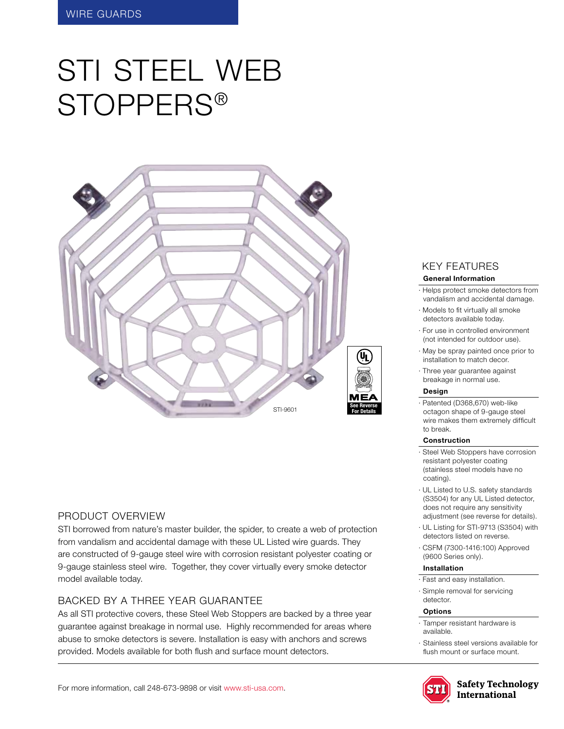# STI STEEL WEB Stoppers®



## Product Overview

STI borrowed from nature's master builder, the spider, to create a web of protection from vandalism and accidental damage with these UL Listed wire guards. They are constructed of 9-gauge steel wire with corrosion resistant polyester coating or 9-gauge stainless steel wire. Together, they cover virtually every smoke detector model available today.

# BACKED BY A THREE YEAR GUARANTEE

As all STI protective covers, these Steel Web Stoppers are backed by a three year guarantee against breakage in normal use. Highly recommended for areas where abuse to smoke detectors is severe. Installation is easy with anchors and screws provided. Models available for both flush and surface mount detectors.

# KEY features

#### **General Information**

- · Helps protect smoke detectors from vandalism and accidental damage.
- · Models to fit virtually all smoke detectors available today.
- · For use in controlled environment (not intended for outdoor use).
- · May be spray painted once prior to installation to match decor.
- · Three year guarantee against breakage in normal use.

#### **Design**

· Patented (D368,670) web-like octagon shape of 9-gauge steel wire makes them extremely difficult to break.

#### **Construction**

- · Steel Web Stoppers have corrosion resistant polyester coating (stainless steel models have no coating).
- · UL Listed to U.S. safety standards (S3504) for any UL Listed detector, does not require any sensitivity adjustment (see reverse for details).
- · UL Listing for STI-9713 (S3504) with detectors listed on reverse.
- · CSFM (7300-1416:100) Approved (9600 Series only).

#### **Installation**

- · Fast and easy installation.
- · Simple removal for servicing detector.

#### **Options**

- Tamper resistant hardware is available.
- · Stainless steel versions available for flush mount or surface mount.



**Safety Technology** International